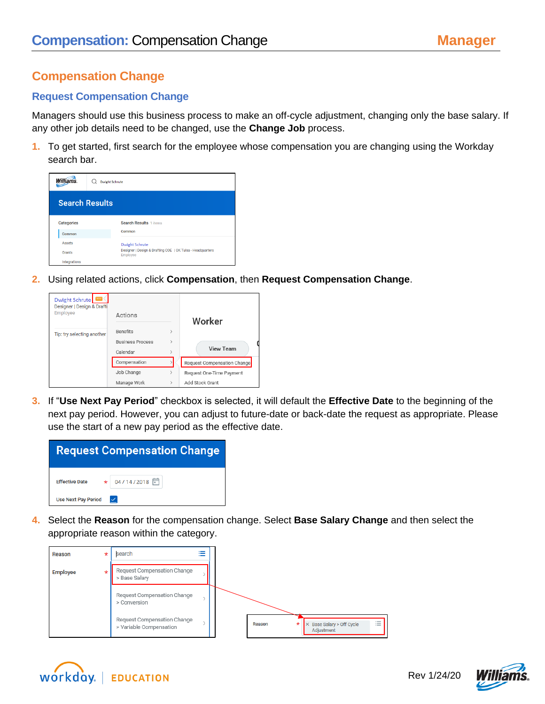## **Compensation Change**

## **Request Compensation Change**

Managers should use this business process to make an off-cycle adjustment, changing only the base salary. If any other job details need to be changed, use the **Change Job** process.

**1.** To get started, first search for the employee whose compensation you are changing using the Workday search bar.



**2.** Using related actions, click **Compensation**, then **Request Compensation Change**.

| Dwight Schrute  <br>Designer   Design & Drafti<br>Employee | Actions                                                |                                | Worker                      |
|------------------------------------------------------------|--------------------------------------------------------|--------------------------------|-----------------------------|
| Tip: try selecting another                                 | <b>Benefits</b><br><b>Business Process</b><br>Calendar | $\mathcal{P}$<br>$\mathcal{P}$ | <b>View Team</b>            |
|                                                            | Compensation                                           |                                | Request Compensation Change |
|                                                            | Job Change                                             | $\mathcal{P}$                  | Request One-Time Payment    |
|                                                            | Manage Work                                            | $\rightarrow$                  | Add Stock Grant             |

**3.** If "**Use Next Pay Period**" checkbox is selected, it will default the **Effective Date** to the beginning of the next pay period. However, you can adjust to future-date or back-date the request as appropriate. Please use the start of a new pay period as the effective date.

| <b>Request Compensation Change</b>         |  |  |  |
|--------------------------------------------|--|--|--|
| Effective Date $\star$ 04/14/2018          |  |  |  |
| <b>Use Next Pay Period</b><br>$\checkmark$ |  |  |  |

**4.** Select the **Reason** for the compensation change. Select **Base Salary Change** and then select the appropriate reason within the category.





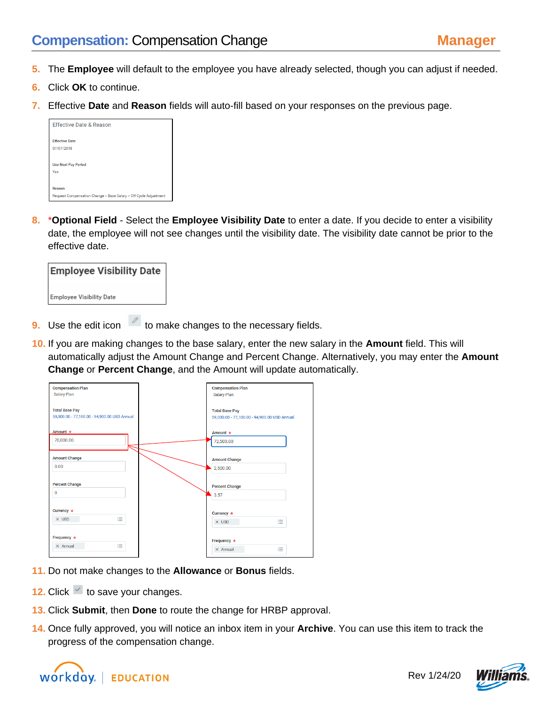- **5.** The **Employee** will default to the employee you have already selected, though you can adjust if needed.
- **6.** Click **OK** to continue.
- **7.** Effective **Date** and **Reason** fields will auto-fill based on your responses on the previous page.

| <b>Effective Date &amp; Reason</b>                                         |  |  |
|----------------------------------------------------------------------------|--|--|
| <b>Effective Date</b><br>07/07/2018                                        |  |  |
| <b>Use Next Pay Period</b><br>Yes                                          |  |  |
| Reason<br>Request Compensation Change > Base Salary > Off Cycle Adjustment |  |  |

**8.** \***Optional Field** - Select the **Employee Visibility Date** to enter a date. If you decide to enter a visibility date, the employee will not see changes until the visibility date. The visibility date cannot be prior to the effective date.



- **9.** Use the edit icon **the make changes to the necessary fields.**
- **10.** If you are making changes to the base salary, enter the new salary in the **Amount** field. This will automatically adjust the Amount Change and Percent Change. Alternatively, you may enter the **Amount Change** or **Percent Change**, and the Amount will update automatically.

| <b>Compensation Plan</b>                     | <b>Compensation Plan</b>                     |  |
|----------------------------------------------|----------------------------------------------|--|
| Salary Plan                                  | Salary Plan                                  |  |
|                                              |                                              |  |
|                                              |                                              |  |
| <b>Total Base Pay</b>                        | <b>Total Base Pay</b>                        |  |
| 59,300.00 - 77,100.00 - 94,900.00 USD Annual | 59,300.00 - 77,100.00 - 94,900.00 USD Annual |  |
|                                              |                                              |  |
| Amount *                                     | Amount $\star$                               |  |
|                                              |                                              |  |
| 70,000.00                                    | 72,500.00                                    |  |
|                                              |                                              |  |
| <b>Amount Change</b>                         |                                              |  |
|                                              | <b>Amount Change</b>                         |  |
| 0.00                                         | 2,500.00                                     |  |
|                                              |                                              |  |
|                                              |                                              |  |
| <b>Percent Change</b>                        | <b>Percent Change</b>                        |  |
| $\pmb{0}$                                    | 3.57                                         |  |
|                                              |                                              |  |
|                                              |                                              |  |
| Currency *                                   | Currency $\star$                             |  |
| 洼<br>$\times$ USD                            |                                              |  |
|                                              | 洼<br>$\times$ USD                            |  |
|                                              |                                              |  |
| Frequency *                                  |                                              |  |
|                                              | Frequency *                                  |  |
| ≡<br>$\times$ Annual                         | $\equiv$<br>$\times$ Annual                  |  |
|                                              |                                              |  |

- **11.** Do not make changes to the **Allowance** or **Bonus** fields.
- **12.** Click  $\leq$  to save your changes.
- **13.** Click **Submit**, then **Done** to route the change for HRBP approval.
- **14.** Once fully approved, you will notice an inbox item in your **Archive**. You can use this item to track the progress of the compensation change.